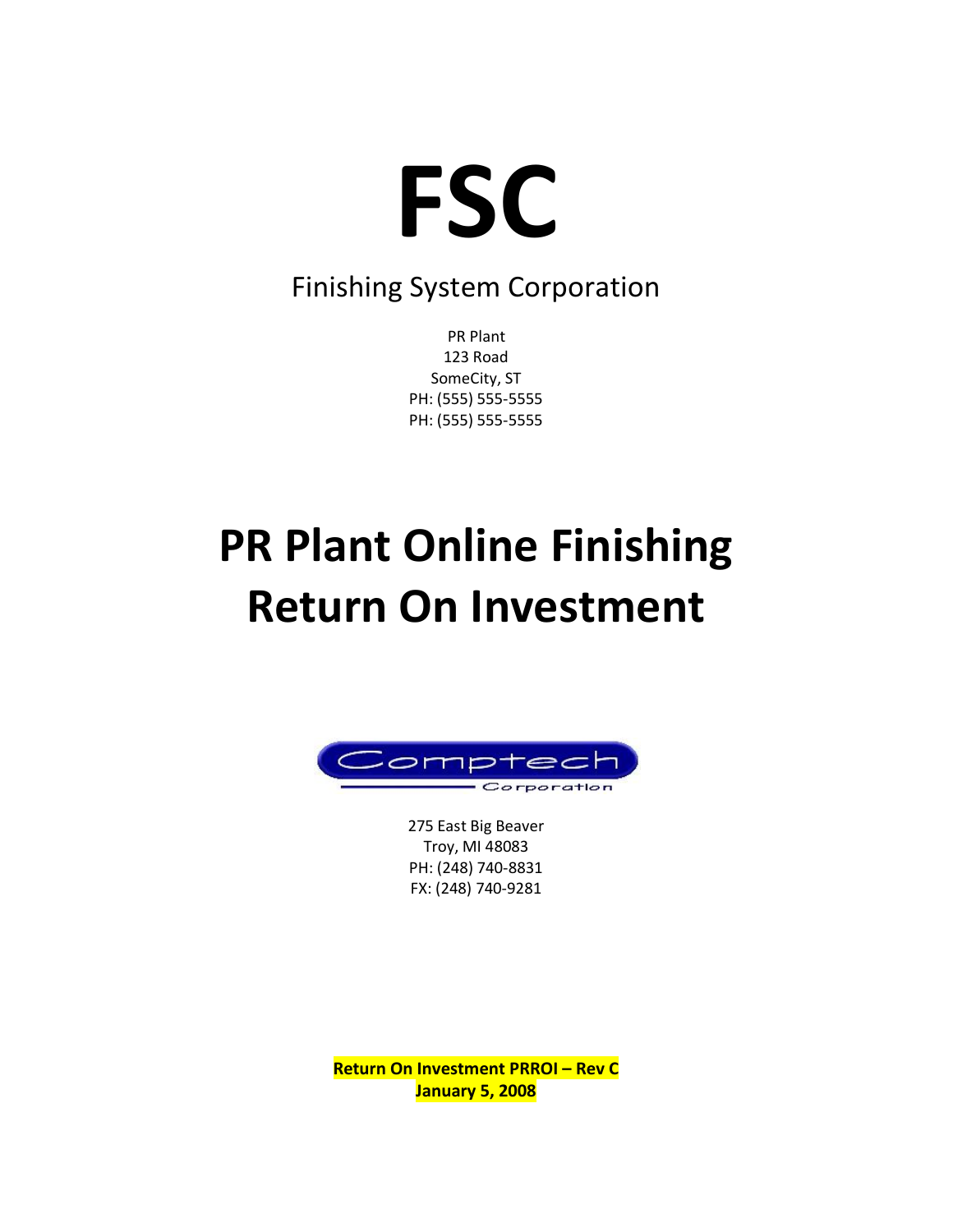

### Finishing System Corporation

PR Plant 123 Road SomeCity, ST PH: (555) 555-5555 PH: (555) 555-5555

# **PR Plant Online Finishing Return On Investment**



275 East Big Beaver Troy, MI 48083 PH: (248) 740-8831 FX: (248) 740-9281

**Return On Investment PRROI – Rev C January 5, 2008**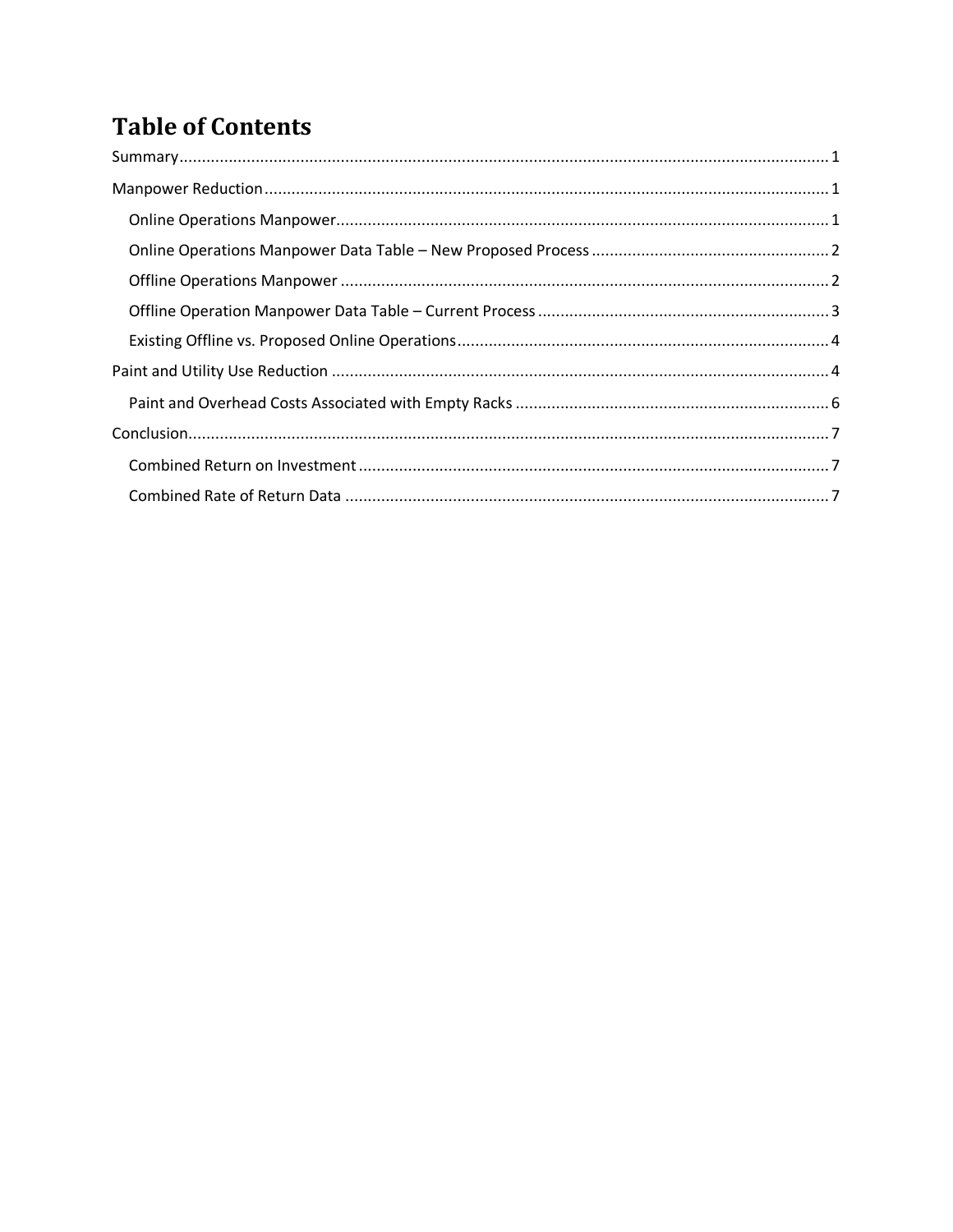### **Table of Contents**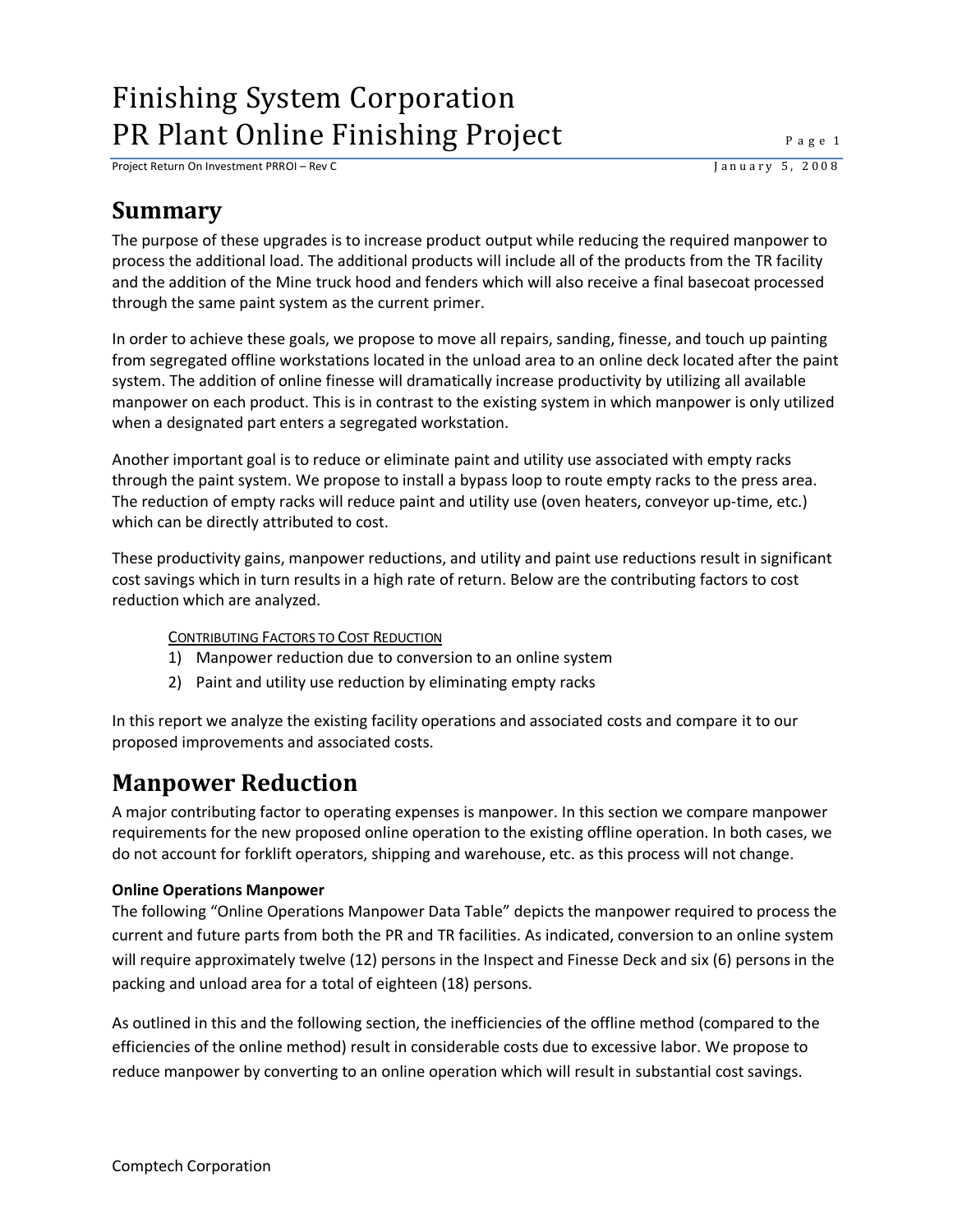Project Return On Investment PRROI – Rev C J a n u a r y 5, 2 0 0 8

### <span id="page-2-0"></span>**Summary**

The purpose of these upgrades is to increase product output while reducing the required manpower to process the additional load. The additional products will include all of the products from the TR facility and the addition of the Mine truck hood and fenders which will also receive a final basecoat processed through the same paint system as the current primer.

In order to achieve these goals, we propose to move all repairs, sanding, finesse, and touch up painting from segregated offline workstations located in the unload area to an online deck located after the paint system. The addition of online finesse will dramatically increase productivity by utilizing all available manpower on each product. This is in contrast to the existing system in which manpower is only utilized when a designated part enters a segregated workstation.

Another important goal is to reduce or eliminate paint and utility use associated with empty racks through the paint system. We propose to install a bypass loop to route empty racks to the press area. The reduction of empty racks will reduce paint and utility use (oven heaters, conveyor up-time, etc.) which can be directly attributed to cost.

These productivity gains, manpower reductions, and utility and paint use reductions result in significant cost savings which in turn results in a high rate of return. Below are the contributing factors to cost reduction which are analyzed.

### CONTRIBUTING FACTORS TO COST REDUCTION

- 1) Manpower reduction due to conversion to an online system
- 2) Paint and utility use reduction by eliminating empty racks

In this report we analyze the existing facility operations and associated costs and compare it to our proposed improvements and associated costs.

### <span id="page-2-1"></span>**Manpower Reduction**

A major contributing factor to operating expenses is manpower. In this section we compare manpower requirements for the new proposed online operation to the existing offline operation. In both cases, we do not account for forklift operators, shipping and warehouse, etc. as this process will not change.

### <span id="page-2-2"></span>**Online Operations Manpower**

The following "Online Operations Manpower Data Table" depicts the manpower required to process the current and future parts from both the PR and TR facilities. As indicated, conversion to an online system will require approximately twelve (12) persons in the Inspect and Finesse Deck and six (6) persons in the packing and unload area for a total of eighteen (18) persons.

As outlined in this and the following section, the inefficiencies of the offline method (compared to the efficiencies of the online method) result in considerable costs due to excessive labor. We propose to reduce manpower by converting to an online operation which will result in substantial cost savings.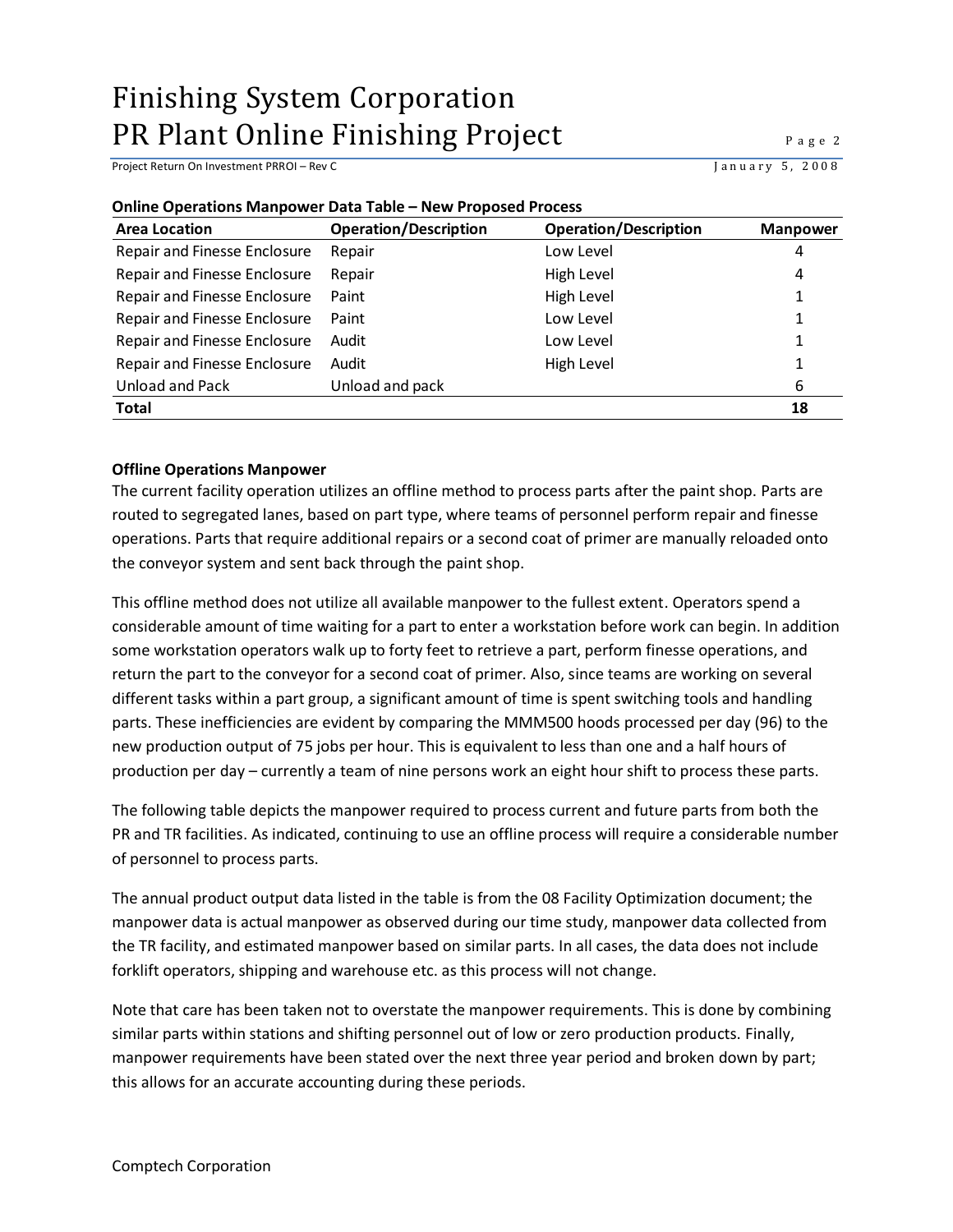Project Return On Investment PRROI – Rev C J a n u a r y 5, 2 0 0 8

| Unime Operations ividilipower Data Table – New Floposed Flotess<br><b>Operation/Description</b><br><b>Operation/Description</b><br><b>Area Location</b><br><b>Manpower</b> |                 |            |    |  |  |  |  |  |  |
|----------------------------------------------------------------------------------------------------------------------------------------------------------------------------|-----------------|------------|----|--|--|--|--|--|--|
|                                                                                                                                                                            |                 |            |    |  |  |  |  |  |  |
| Repair and Finesse Enclosure                                                                                                                                               | Repair          | Low Level  | 4  |  |  |  |  |  |  |
| Repair and Finesse Enclosure                                                                                                                                               | Repair          | High Level | 4  |  |  |  |  |  |  |
| Repair and Finesse Enclosure                                                                                                                                               | Paint           | High Level | 1  |  |  |  |  |  |  |
| Repair and Finesse Enclosure                                                                                                                                               | Paint           | Low Level  | 1  |  |  |  |  |  |  |
| Repair and Finesse Enclosure                                                                                                                                               | Audit           | Low Level  |    |  |  |  |  |  |  |
| Repair and Finesse Enclosure                                                                                                                                               | Audit           | High Level |    |  |  |  |  |  |  |
| Unload and Pack                                                                                                                                                            | Unload and pack |            | 6  |  |  |  |  |  |  |
| <b>Total</b>                                                                                                                                                               |                 |            | 18 |  |  |  |  |  |  |

### <span id="page-3-0"></span>**Online Operations Manpower Data Table – New Proposed Process**

#### <span id="page-3-1"></span>**Offline Operations Manpower**

The current facility operation utilizes an offline method to process parts after the paint shop. Parts are routed to segregated lanes, based on part type, where teams of personnel perform repair and finesse operations. Parts that require additional repairs or a second coat of primer are manually reloaded onto the conveyor system and sent back through the paint shop.

This offline method does not utilize all available manpower to the fullest extent. Operators spend a considerable amount of time waiting for a part to enter a workstation before work can begin. In addition some workstation operators walk up to forty feet to retrieve a part, perform finesse operations, and return the part to the conveyor for a second coat of primer. Also, since teams are working on several different tasks within a part group, a significant amount of time is spent switching tools and handling parts. These inefficiencies are evident by comparing the MMM500 hoods processed per day (96) to the new production output of 75 jobs per hour. This is equivalent to less than one and a half hours of production per day – currently a team of nine persons work an eight hour shift to process these parts.

The following table depicts the manpower required to process current and future parts from both the PR and TR facilities. As indicated, continuing to use an offline process will require a considerable number of personnel to process parts.

The annual product output data listed in the table is from the 08 Facility Optimization document; the manpower data is actual manpower as observed during our time study, manpower data collected from the TR facility, and estimated manpower based on similar parts. In all cases, the data does not include forklift operators, shipping and warehouse etc. as this process will not change.

Note that care has been taken not to overstate the manpower requirements. This is done by combining similar parts within stations and shifting personnel out of low or zero production products. Finally, manpower requirements have been stated over the next three year period and broken down by part; this allows for an accurate accounting during these periods.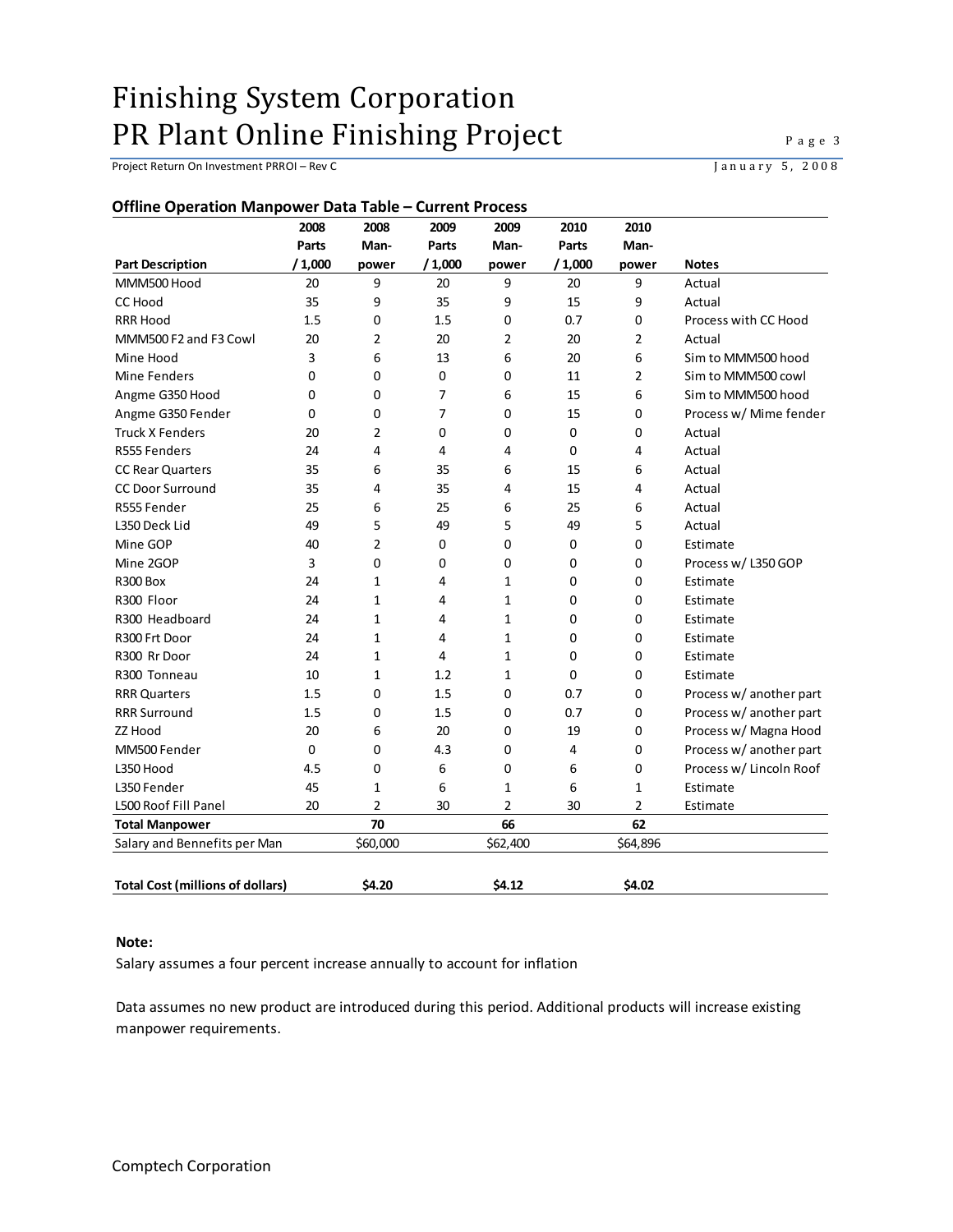Project Return On Investment PRROI – Rev C<br>
January 5, 2008

<span id="page-4-0"></span>

|                                         | 2008        | 2008           | 2009           | 2009           | 2010   | 2010           |                         |
|-----------------------------------------|-------------|----------------|----------------|----------------|--------|----------------|-------------------------|
|                                         | Parts       | Man-           | Parts          | Man-           | Parts  | Man-           |                         |
| <b>Part Description</b>                 | /1,000      | power          | /1,000         | power          | /1,000 | power          | <b>Notes</b>            |
| MMM500 Hood                             | 20          | 9              | 20             | 9              | 20     | 9              | Actual                  |
| <b>CC Hood</b>                          | 35          | 9              | 35             | 9              | 15     | 9              | Actual                  |
| <b>RRR Hood</b>                         | 1.5         | $\mathbf 0$    | 1.5            | $\mathbf 0$    | 0.7    | 0              | Process with CC Hood    |
| MMM500 F2 and F3 Cowl                   | 20          | 2              | 20             | $\overline{2}$ | 20     | 2              | Actual                  |
| Mine Hood                               | 3           | 6              | 13             | 6              | 20     | 6              | Sim to MMM500 hood      |
| Mine Fenders                            | 0           | $\mathbf 0$    | $\mathbf 0$    | 0              | 11     | 2              | Sim to MMM500 cowl      |
| Angme G350 Hood                         | 0           | 0              | $\overline{7}$ | 6              | 15     | 6              | Sim to MMM500 hood      |
| Angme G350 Fender                       | 0           | $\mathbf 0$    | $\overline{7}$ | $\mathbf 0$    | 15     | 0              | Process w/ Mime fender  |
| <b>Truck X Fenders</b>                  | 20          | $\overline{2}$ | 0              | 0              | 0      | 0              | Actual                  |
| R555 Fenders                            | 24          | 4              | 4              | 4              | 0      | 4              | Actual                  |
| <b>CC Rear Quarters</b>                 | 35          | 6              | 35             | 6              | 15     | 6              | Actual                  |
| <b>CC Door Surround</b>                 | 35          | 4              | 35             | 4              | 15     | 4              | Actual                  |
| R555 Fender                             | 25          | 6              | 25             | 6              | 25     | 6              | Actual                  |
| L350 Deck Lid                           | 49          | 5              | 49             | 5              | 49     | 5              | Actual                  |
| Mine GOP                                | 40          | $\overline{2}$ | 0              | 0              | 0      | 0              | Estimate                |
| Mine 2GOP                               | 3           | $\Omega$       | 0              | 0              | 0      | 0              | Process w/ L350 GOP     |
| <b>R300 Box</b>                         | 24          | 1              | 4              | 1              | 0      | 0              | Estimate                |
| R300 Floor                              | 24          | $\mathbf{1}$   | 4              | $\mathbf{1}$   | 0      | 0              | Estimate                |
| R300 Headboard                          | 24          | 1              | 4              | $\mathbf{1}$   | 0      | 0              | Estimate                |
| R300 Frt Door                           | 24          | 1              | 4              | $\mathbf{1}$   | 0      | 0              | Estimate                |
| R300 Rr Door                            | 24          | 1              | 4              | $\mathbf{1}$   | 0      | 0              | Estimate                |
| R300 Tonneau                            | 10          | $\mathbf{1}$   | 1.2            | 1              | 0      | 0              | Estimate                |
| <b>RRR Quarters</b>                     | 1.5         | $\mathbf 0$    | 1.5            | 0              | 0.7    | 0              | Process w/ another part |
| <b>RRR Surround</b>                     | 1.5         | $\mathbf 0$    | 1.5            | $\mathbf 0$    | 0.7    | 0              | Process w/ another part |
| ZZ Hood                                 | 20          | 6              | 20             | $\mathbf 0$    | 19     | $\mathbf 0$    | Process w/ Magna Hood   |
| MM500 Fender                            | $\mathbf 0$ | $\mathbf 0$    | 4.3            | $\mathbf 0$    | 4      | $\mathbf 0$    | Process w/ another part |
| L350 Hood                               | 4.5         | $\mathbf 0$    | 6              | 0              | 6      | 0              | Process w/ Lincoln Roof |
| L350 Fender                             | 45          | 1              | 6              | 1              | 6      | 1              | Estimate                |
| L500 Roof Fill Panel                    | 20          | $\overline{2}$ | 30             | $\overline{2}$ | 30     | $\overline{2}$ | Estimate                |
| <b>Total Manpower</b>                   |             | 70             |                | 66             |        | 62             |                         |
| Salary and Bennefits per Man            |             | \$60,000       |                | \$62,400       |        | \$64,896       |                         |
|                                         |             |                |                |                |        |                |                         |
| <b>Total Cost (millions of dollars)</b> |             | \$4.20         |                | \$4.12         |        | \$4.02         |                         |

#### **Note:**

Salary assumes a four percent increase annually to account for inflation

Data assumes no new product are introduced during this period. Additional products will increase existing manpower requirements.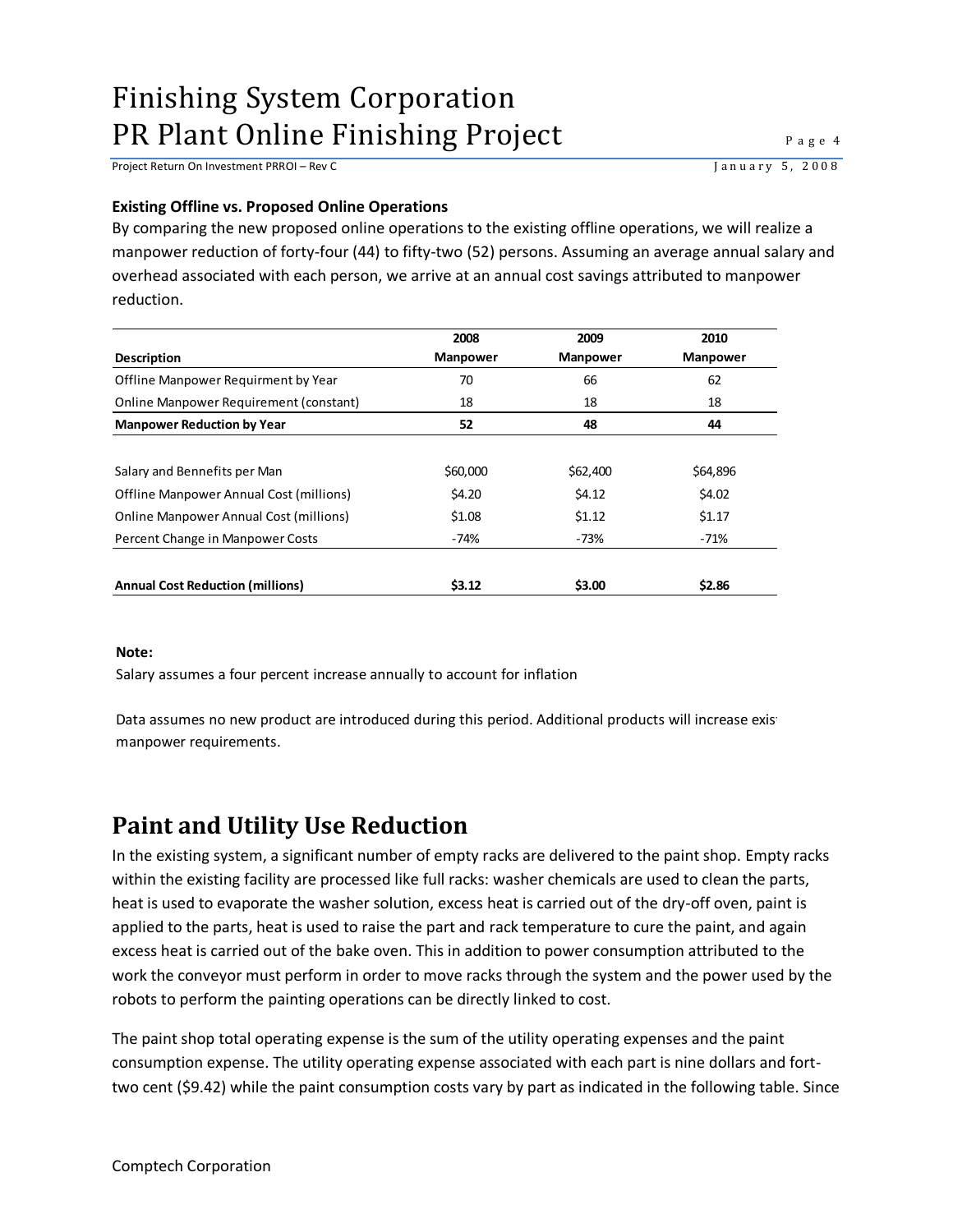Project Return On Investment PRROI – Rev C<br>January 5, 2008

#### <span id="page-5-0"></span>**Existing Offline vs. Proposed Online Operations**

By comparing the new proposed online operations to the existing offline operations, we will realize a manpower reduction of forty-four (44) to fifty-two (52) persons. Assuming an average annual salary and overhead associated with each person, we arrive at an annual cost savings attributed to manpower reduction.

|                                         | 2008            | 2009            | 2010            |
|-----------------------------------------|-----------------|-----------------|-----------------|
| <b>Description</b>                      | <b>Manpower</b> | <b>Manpower</b> | <b>Manpower</b> |
| Offline Manpower Requirment by Year     | 70              | 66              | 62              |
| Online Manpower Requirement (constant)  | 18              | 18              | 18              |
| <b>Manpower Reduction by Year</b>       | 52              | 48              | 44              |
|                                         |                 |                 |                 |
| Salary and Bennefits per Man            | \$60,000        | \$62,400        | \$64,896        |
| Offline Manpower Annual Cost (millions) | \$4.20          | \$4.12          | \$4.02          |
| Online Manpower Annual Cost (millions)  | \$1.08          | \$1.12          | \$1.17          |
| Percent Change in Manpower Costs        | -74%            | -73%            | $-71%$          |
|                                         |                 |                 |                 |
| <b>Annual Cost Reduction (millions)</b> | 53.12           | \$3.00          | \$2.86          |

#### **Note:**

Salary assumes a four percent increase annually to account for inflation

Data assumes no new product are introduced during this period. Additional products will increase existing manpower requirements.

### <span id="page-5-1"></span>**Paint and Utility Use Reduction**

In the existing system, a significant number of empty racks are delivered to the paint shop. Empty racks within the existing facility are processed like full racks: washer chemicals are used to clean the parts, heat is used to evaporate the washer solution, excess heat is carried out of the dry-off oven, paint is applied to the parts, heat is used to raise the part and rack temperature to cure the paint, and again excess heat is carried out of the bake oven. This in addition to power consumption attributed to the work the conveyor must perform in order to move racks through the system and the power used by the robots to perform the painting operations can be directly linked to cost.

The paint shop total operating expense is the sum of the utility operating expenses and the paint consumption expense. The utility operating expense associated with each part is nine dollars and forttwo cent (\$9.42) while the paint consumption costs vary by part as indicated in the following table. Since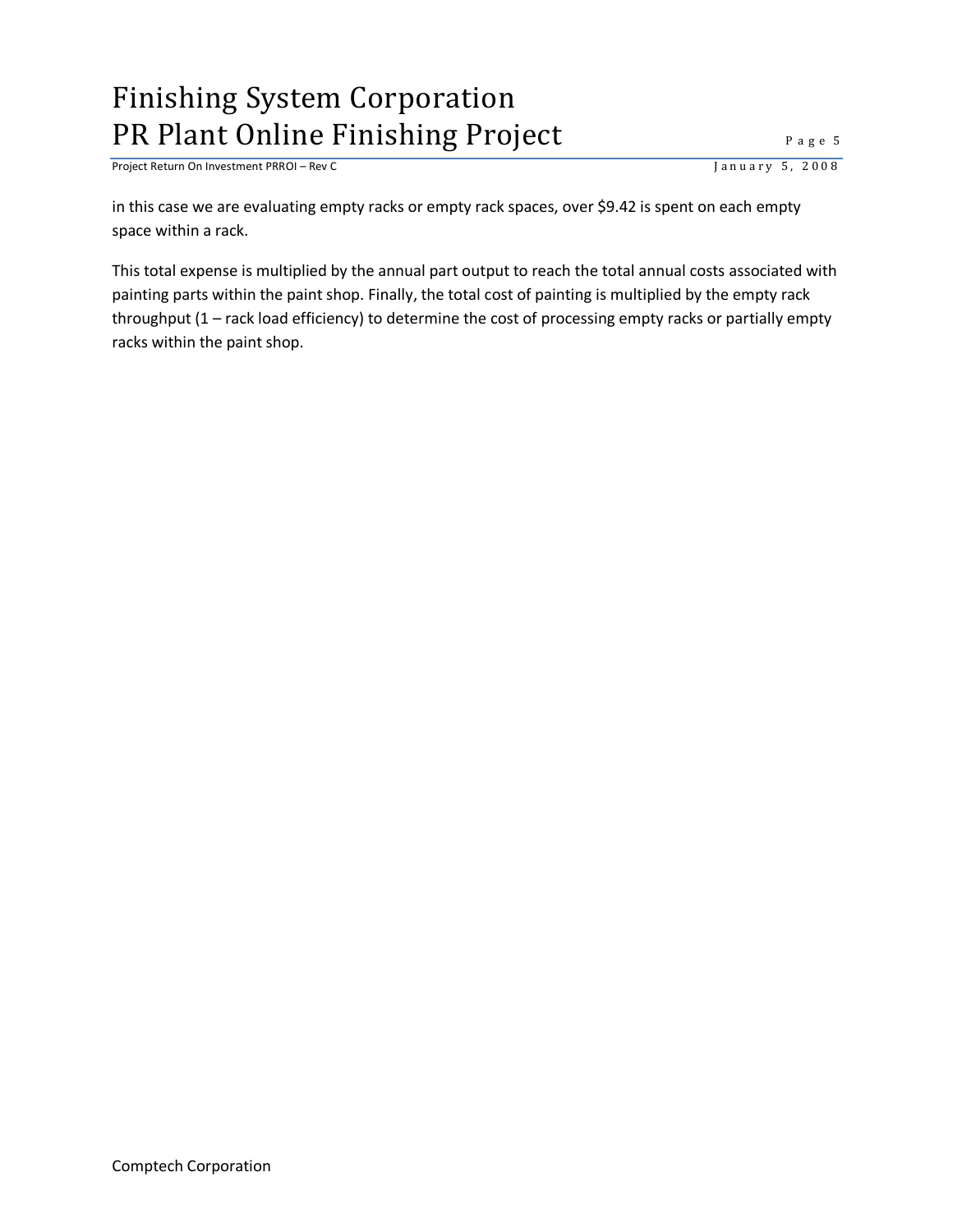Project Return On Investment PRROI – Rev C<br>
J a n u a r y 5, 2008

in this case we are evaluating empty racks or empty rack spaces, over \$9.42 is spent on each empty space within a rack.

This total expense is multiplied by the annual part output to reach the total annual costs associated with painting parts within the paint shop. Finally, the total cost of painting is multiplied by the empty rack throughput (1 – rack load efficiency) to determine the cost of processing empty racks or partially empty racks within the paint shop.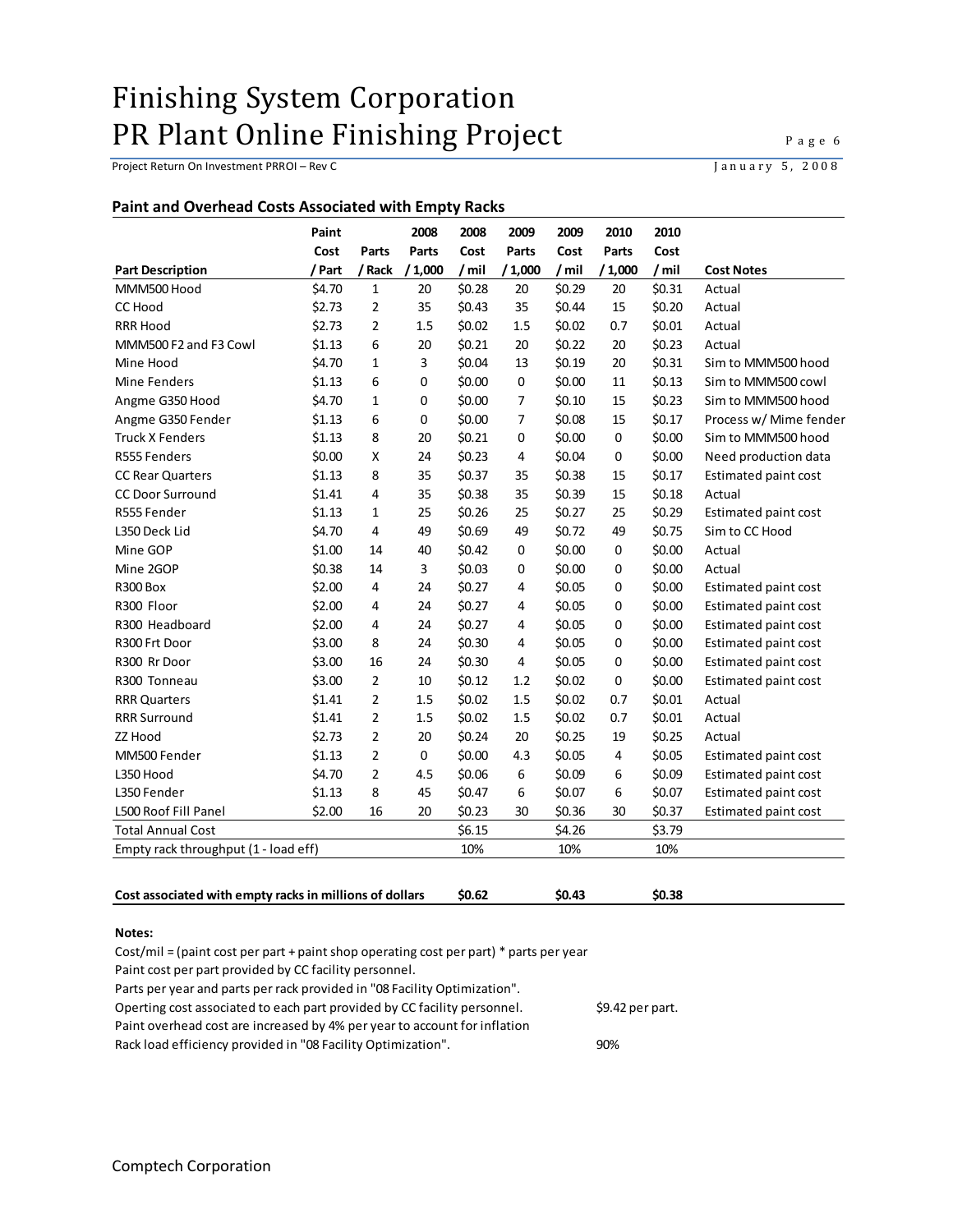Project Return On Investment PRROI – Rev C<br>
January 5, 2008

#### <span id="page-7-0"></span>**Paint and Overhead Costs Associated with Empty Racks**

|                                      | Paint  |                | 2008   | 2008   | 2009        | 2009   | 2010        | 2010   |                             |
|--------------------------------------|--------|----------------|--------|--------|-------------|--------|-------------|--------|-----------------------------|
|                                      | Cost   | Parts          | Parts  | Cost   | Parts       | Cost   | Parts       | Cost   |                             |
| <b>Part Description</b>              | / Part | / Rack         | /1,000 | /mil   | /1,000      | /mil   | /1,000      | /mil   | <b>Cost Notes</b>           |
| MMM500 Hood                          | \$4.70 | $\mathbf{1}$   | 20     | \$0.28 | 20          | \$0.29 | 20          | \$0.31 | Actual                      |
| <b>CC Hood</b>                       | \$2.73 | $\overline{2}$ | 35     | \$0.43 | 35          | \$0.44 | 15          | \$0.20 | Actual                      |
| <b>RRR Hood</b>                      | \$2.73 | $\overline{2}$ | 1.5    | \$0.02 | 1.5         | \$0.02 | 0.7         | \$0.01 | Actual                      |
| MMM500 F2 and F3 Cowl                | \$1.13 | 6              | 20     | \$0.21 | 20          | \$0.22 | 20          | \$0.23 | Actual                      |
| Mine Hood                            | \$4.70 | 1              | 3      | \$0.04 | 13          | \$0.19 | 20          | \$0.31 | Sim to MMM500 hood          |
| Mine Fenders                         | \$1.13 | 6              | 0      | \$0.00 | $\mathbf 0$ | \$0.00 | 11          | \$0.13 | Sim to MMM500 cowl          |
| Angme G350 Hood                      | \$4.70 | $\mathbf{1}$   | 0      | \$0.00 | 7           | \$0.10 | 15          | \$0.23 | Sim to MMM500 hood          |
| Angme G350 Fender                    | \$1.13 | 6              | 0      | \$0.00 | 7           | \$0.08 | 15          | \$0.17 | Process w/ Mime fender      |
| <b>Truck X Fenders</b>               | \$1.13 | 8              | 20     | \$0.21 | 0           | \$0.00 | $\mathbf 0$ | \$0.00 | Sim to MMM500 hood          |
| R555 Fenders                         | \$0.00 | X              | 24     | \$0.23 | 4           | \$0.04 | 0           | \$0.00 | Need production data        |
| <b>CC Rear Quarters</b>              | \$1.13 | 8              | 35     | \$0.37 | 35          | \$0.38 | 15          | \$0.17 | <b>Estimated paint cost</b> |
| <b>CC Door Surround</b>              | \$1.41 | 4              | 35     | \$0.38 | 35          | \$0.39 | 15          | \$0.18 | Actual                      |
| R555 Fender                          | \$1.13 | 1              | 25     | \$0.26 | 25          | \$0.27 | 25          | \$0.29 | Estimated paint cost        |
| L350 Deck Lid                        | \$4.70 | 4              | 49     | \$0.69 | 49          | \$0.72 | 49          | \$0.75 | Sim to CC Hood              |
| Mine GOP                             | \$1.00 | 14             | 40     | \$0.42 | $\mathbf 0$ | \$0.00 | 0           | \$0.00 | Actual                      |
| Mine 2GOP                            | \$0.38 | 14             | 3      | \$0.03 | $\mathbf 0$ | \$0.00 | 0           | \$0.00 | Actual                      |
| <b>R300 Box</b>                      | \$2.00 | 4              | 24     | \$0.27 | 4           | \$0.05 | 0           | \$0.00 | Estimated paint cost        |
| R300 Floor                           | \$2.00 | 4              | 24     | \$0.27 | 4           | \$0.05 | 0           | \$0.00 | Estimated paint cost        |
| R300 Headboard                       | \$2.00 | 4              | 24     | \$0.27 | 4           | \$0.05 | 0           | \$0.00 | Estimated paint cost        |
| R300 Frt Door                        | \$3.00 | 8              | 24     | \$0.30 | 4           | \$0.05 | 0           | \$0.00 | <b>Estimated paint cost</b> |
| R300 Rr Door                         | \$3.00 | 16             | 24     | \$0.30 | 4           | \$0.05 | 0           | \$0.00 | Estimated paint cost        |
| R300 Tonneau                         | \$3.00 | $\overline{2}$ | 10     | \$0.12 | 1.2         | \$0.02 | $\Omega$    | \$0.00 | Estimated paint cost        |
| <b>RRR Quarters</b>                  | \$1.41 | $\overline{2}$ | 1.5    | \$0.02 | 1.5         | \$0.02 | 0.7         | \$0.01 | Actual                      |
| <b>RRR Surround</b>                  | \$1.41 | $\overline{2}$ | 1.5    | \$0.02 | 1.5         | \$0.02 | 0.7         | \$0.01 | Actual                      |
| ZZ Hood                              | \$2.73 | 2              | 20     | \$0.24 | 20          | \$0.25 | 19          | \$0.25 | Actual                      |
| MM500 Fender                         | \$1.13 | 2              | 0      | \$0.00 | 4.3         | \$0.05 | 4           | \$0.05 | Estimated paint cost        |
| L350 Hood                            | \$4.70 | 2              | 4.5    | \$0.06 | 6           | \$0.09 | 6           | \$0.09 | <b>Estimated paint cost</b> |
| L350 Fender                          | \$1.13 | 8              | 45     | \$0.47 | 6           | \$0.07 | 6           | \$0.07 | Estimated paint cost        |
| L500 Roof Fill Panel                 | \$2.00 | 16             | 20     | \$0.23 | 30          | \$0.36 | 30          | \$0.37 | <b>Estimated paint cost</b> |
| <b>Total Annual Cost</b>             |        |                |        | \$6.15 |             | \$4.26 |             | \$3.79 |                             |
| Empty rack throughput (1 - load eff) |        |                |        | 10%    |             | 10%    |             | 10%    |                             |
|                                      |        |                |        |        |             |        |             |        |                             |

#### **Notes:**

Cost/mil = (paint cost per part + paint shop operating cost per part) \* parts per year

Paint cost per part provided by CC facility personnel.

Parts per year and parts per rack provided in "08 Facility Optimization".

Operting cost associated to each part provided by CC facility personnel. \$9.42 per part.

Paint overhead cost are increased by 4% per year to account for inflation

Rack load efficiency provided in "08 Facility Optimization". 90%